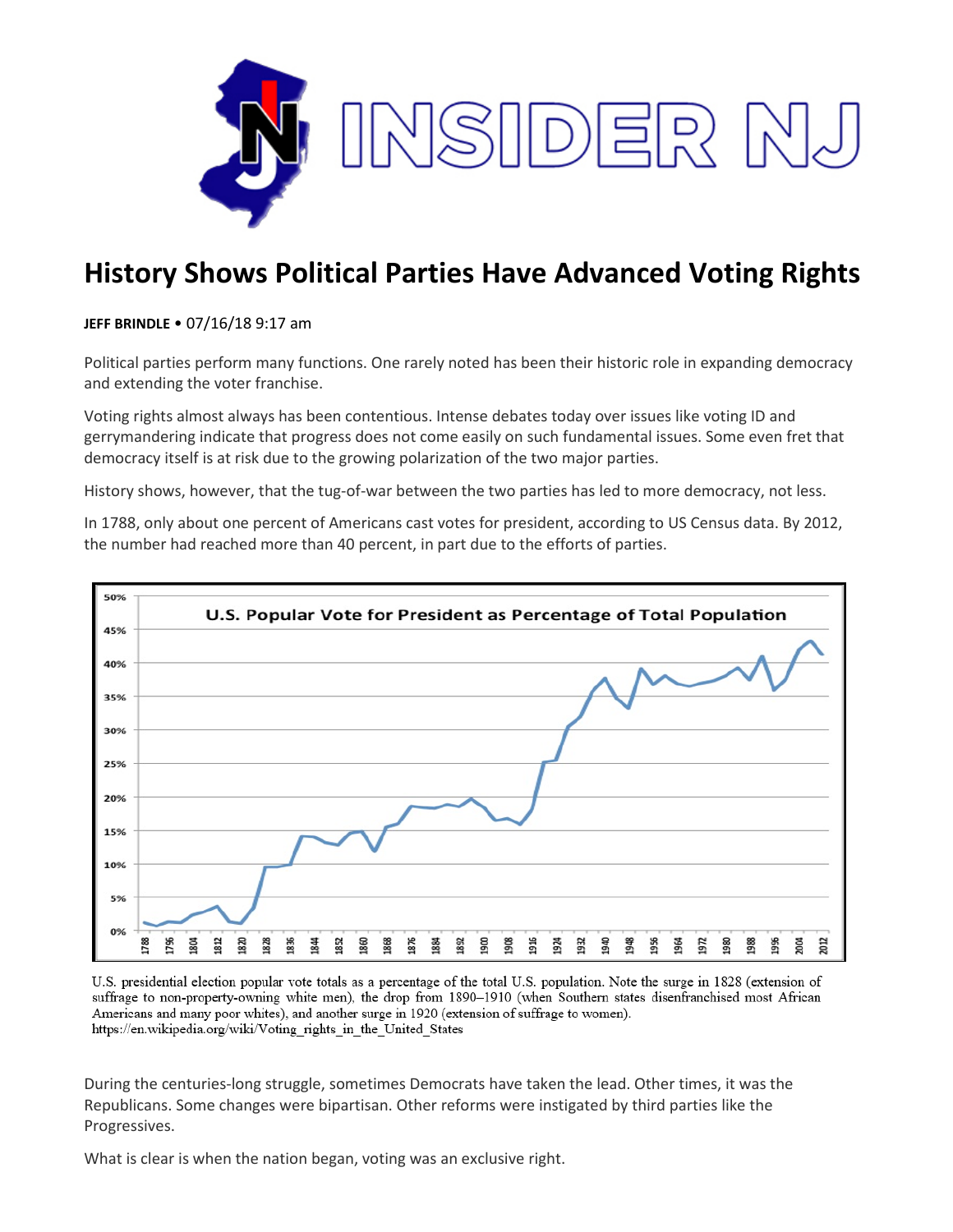

## **History Shows Political Parties Have Advanced Voting Rights**

## **JEFF BRINDLE** • 07/16/18 9:17 am

Political parties perform many functions. One rarely noted has been their historic role in expanding democracy and extending the voter franchise.

Voting rights almost always has been contentious. Intense debates today over issues like voting ID and gerrymandering indicate that progress does not come easily on such fundamental issues. Some even fret that democracy itself is at risk due to the growing polarization of the two major parties.

History shows, however, that the tug-of-war between the two parties has led to more democracy, not less.

In 1788, only about one percent of Americans cast votes for president, according to US Census data. By 2012, the number had reached more than 40 percent, in part due to the efforts of parties.



U.S. presidential election popular vote totals as a percentage of the total U.S. population. Note the surge in 1828 (extension of suffrage to non-property-owning white men), the drop from 1890–1910 (when Southern states disenfranchised most African Americans and many poor whites), and another surge in 1920 (extension of suffrage to women). https://en.wikipedia.org/wiki/Voting\_rights\_in\_the\_United\_States

During the centuries-long struggle, sometimes Democrats have taken the lead. Other times, it was the Republicans. Some changes were bipartisan. Other reforms were instigated by third parties like the Progressives.

What is clear is when the nation began, voting was an exclusive right.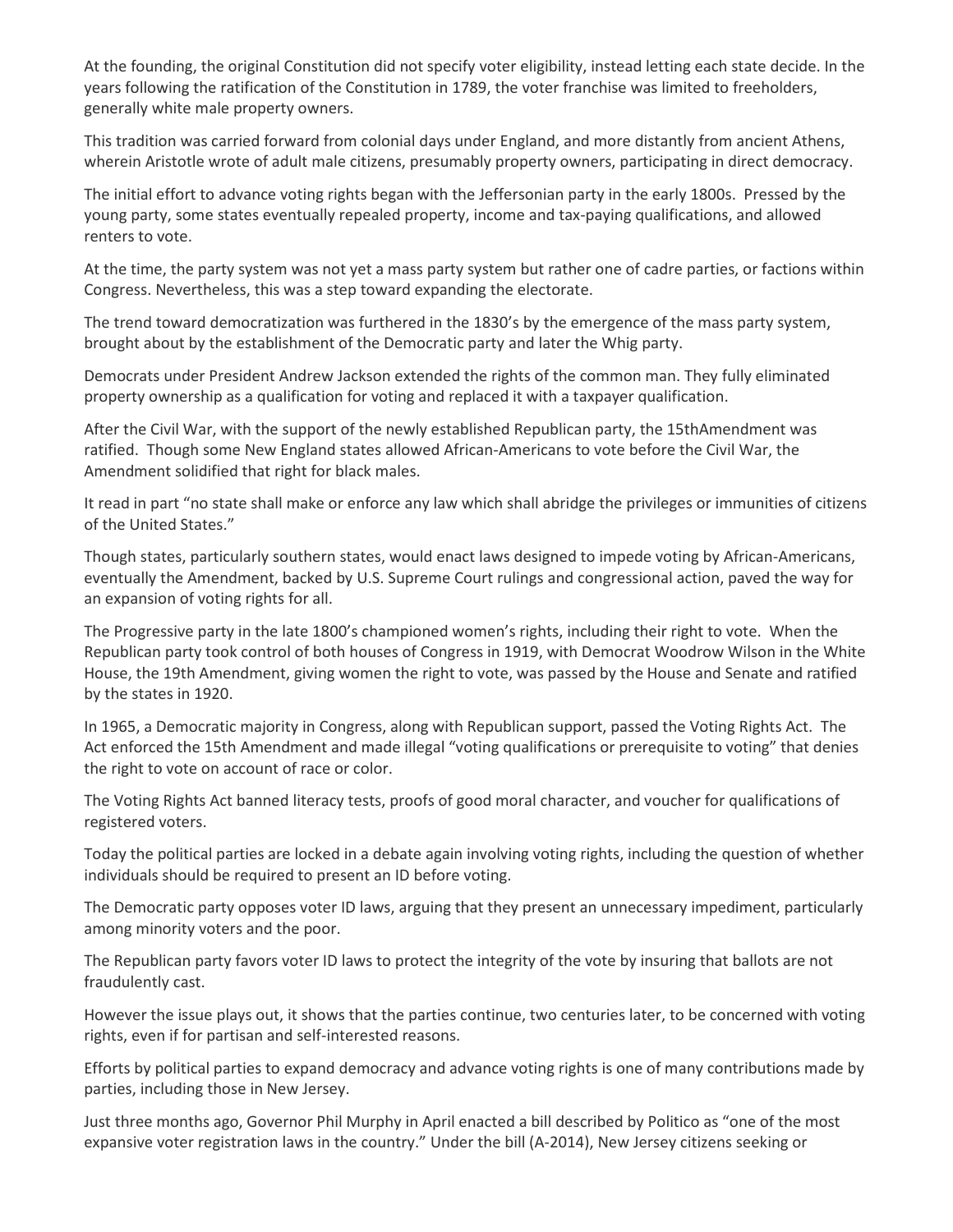At the founding, the original Constitution did not specify voter eligibility, instead letting each state decide. In the years following the ratification of the Constitution in 1789, the voter franchise was limited to freeholders, generally white male property owners.

This tradition was carried forward from colonial days under England, and more distantly from ancient Athens, wherein Aristotle wrote of adult male citizens, presumably property owners, participating in direct democracy.

The initial effort to advance voting rights began with the Jeffersonian party in the early 1800s. Pressed by the young party, some states eventually repealed property, income and tax-paying qualifications, and allowed renters to vote.

At the time, the party system was not yet a mass party system but rather one of cadre parties, or factions within Congress. Nevertheless, this was a step toward expanding the electorate.

The trend toward democratization was furthered in the 1830's by the emergence of the mass party system, brought about by the establishment of the Democratic party and later the Whig party.

Democrats under President Andrew Jackson extended the rights of the common man. They fully eliminated property ownership as a qualification for voting and replaced it with a taxpayer qualification.

After the Civil War, with the support of the newly established Republican party, the 15thAmendment was ratified. Though some New England states allowed African-Americans to vote before the Civil War, the Amendment solidified that right for black males.

It read in part "no state shall make or enforce any law which shall abridge the privileges or immunities of citizens of the United States."

Though states, particularly southern states, would enact laws designed to impede voting by African-Americans, eventually the Amendment, backed by U.S. Supreme Court rulings and congressional action, paved the way for an expansion of voting rights for all.

The Progressive party in the late 1800's championed women's rights, including their right to vote. When the Republican party took control of both houses of Congress in 1919, with Democrat Woodrow Wilson in the White House, the 19th Amendment, giving women the right to vote, was passed by the House and Senate and ratified by the states in 1920.

In 1965, a Democratic majority in Congress, along with Republican support, passed the Voting Rights Act. The Act enforced the 15th Amendment and made illegal "voting qualifications or prerequisite to voting" that denies the right to vote on account of race or color.

The Voting Rights Act banned literacy tests, proofs of good moral character, and voucher for qualifications of registered voters.

Today the political parties are locked in a debate again involving voting rights, including the question of whether individuals should be required to present an ID before voting.

The Democratic party opposes voter ID laws, arguing that they present an unnecessary impediment, particularly among minority voters and the poor.

The Republican party favors voter ID laws to protect the integrity of the vote by insuring that ballots are not fraudulently cast.

However the issue plays out, it shows that the parties continue, two centuries later, to be concerned with voting rights, even if for partisan and self-interested reasons.

Efforts by political parties to expand democracy and advance voting rights is one of many contributions made by parties, including those in New Jersey.

Just three months ago, Governor Phil Murphy in April enacted a bill described by Politico as "one of the most expansive voter registration laws in the country." Under the bill (A-2014), New Jersey citizens seeking or